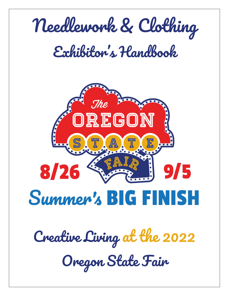

*Oregon State Fair*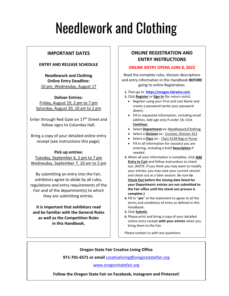# Needlework and Clothing

## **IMPORTANT DATES**

### **ENTRY AND RELEASE SCHEDULE**

**Needlework and Clothing Online Entry Deadline:** 10 pm, Wednesday, August 17

**Deliver Entries:** Friday, August 19, 2 pm to 7 pm Saturday, August 20, 10 am to 2 pm

Enter through Red Gate on 17<sup>th</sup> Street and follow signs to Columbia Hall.

Bring a copy of your detailed online entry receipt (see instructions this page).

#### **Pick up entries:**

Tuesday, September 6, 2 pm to 7 pm Wednesday, September 7, 10 am to 2 pm

By submitting an entry into the Fair, exhibitors agree to abide by all rules, regulations and entry requirements of the Fair and of the department(s) to which they are submitting entries.

**It is important that exhibitors read and be familiar with the General Rules as well as the Competition Rules in this Handbook.**

## **ONLINE REGISTRATION AND ENTRY INSTRUCTIONS**

#### **ONLINE ENTRY OPENS JUNE 8, 2022**

Read the complete rules, division descriptions and entry information in this Handbook **BEFORE** going to online Registration.

#### **1.** Then go to **[https://oregon.fairwire.com](https://oregon.fairwire.com/)**

- **2.** Click **Register** or **Sign In** (for return visits).
	- Register using your First and Last Name and create a password (write your password down).
	- Fill in requested information, including email address. Add age only if under 18. Click **Continue**.
	- Select **Department** ex.:Needlework/Clothing
	- Select a **Division** ex.: Crochet, Division 413
	- Select a **Class** ex.: Class 4138 Bag or Purse
	- Fill in all information for class(es) you are entering, including a brief **Description** if needed.
- **3.** When all your information is complete, click **Add Entry to Cart** and follow instructions to check out. (NOTE: If you think you may want to modify your entries, you may save your current session and check out at a later session. Be sure **to Check Out before the closing date listed for your Department; entries are not submitted to the Fair office until the check-out process is complete.)**
- **4.** Fill in "**yes**" at the statement to agree to all the terms and conditions of entry as defined in this Handbook.
- **5.** Click **Submit**.
- **6.** Please print and bring a copy of your detailed online entry receipt **with your entries** when you bring them to the Fair.

Please contact us with any questions.

#### **Oregon State Fair Creative Living Office**

**971-701-6571 or email** [creativeliving@oregonstatefair.org](mailto:creativeliving@oregonstatefair.org)

[www.oregonstatefair.org](http://www.oregonstatefair.org/)

**Follow the Oregon State Fair on Facebook, Instagram and Pinterest!**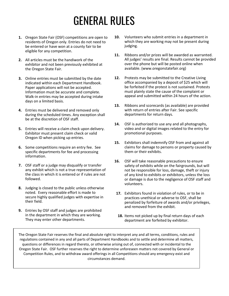## GENERAL RULES

- **1.** Oregon State Fair (OSF) competitions are open to residents of Oregon only. Entries do not need to be entered or have won at a county fair to be eligible for any competition.
- **2.** All articles must be the handiwork of the exhibitor and not been previously exhibited at the Oregon State Fair.
- **3.** Online entries must be submitted by the date indicated within each Department Handbook. Paper applications will not be accepted. Information must be accurate and complete. Walk-in entries may be accepted during intake days on a limited basis.
- **4.** Entries must be delivered and removed only during the scheduled times. Any exception shall be at the discretion of OSF staff.
- **5.** Entries will receive a claim check upon delivery. Exhibitor must present claim check or valid Oregon ID when picking up entries.
- **6.** Some competitions require an entry fee. See specific departments for fee and processing information.
- **7.** OSF staff or a judge may disqualify or transfer any exhibit which is not a true representation of the class in which it is entered or if rules are not followed.
- **8.** Judging is closed to the public unless otherwise noted. Every reasonable effort is made to secure highly qualified judges with expertise in their field.
- **9.** Entries by OSF staff and judges are prohibited in the department in which they are working. They may enter other departments.
- **10.** Volunteers who submit entries in a department in which they are working may not be present during judging.
- **11.** Ribbons and/or prizes will be awarded as warranted. All judges' results are final. Results cannot be provided over the phone but will be posted online when available. (www.oregonstatefair.org)
- **12.** Protests may be submitted to the Creative Living office accompanied by a deposit of \$25 which will be forfeited if the protest is not sustained. Protests must plainly state the cause of the complaint or appeal and submitted within 24 hours of the action.
- **13.** Ribbons and scorecards (as available) are provided with return of entries after Fair. See specific departments for return days.
- **14.** OSF is authorized to use any and all photographs, video and or digital images related to the entry for promotional purposes.
- **15.** Exhibitors shall indemnify OSF from and against all claims for damage to persons or property caused by them or their exhibits.
- **16.** OSF will take reasonable precautions to ensure safety of exhibits while on the fairgrounds, but will not be responsible for loss, damage, theft or injury of any kind to exhibits or exhibitors, unless the loss or damage is due to the negligence of OSF staff and volunteers.
- **17.** Exhibitors found in violation of rules, or to be in practices unethical or adverse to OSF, shall be penalized by forfeiture of awards and/or privileges, and removed from the exhibit.
- **18.** Items not picked up by final return days of each department are forfeited by exhibitor.

The Oregon State Fair reserves the final and absolute right to interpret any and all terms, conditions, rules and regulations contained in any and all parts of Department Handbooks and to settle and determine all matters, questions or differences in regard thereto, or otherwise arising out of, connected with or incidental to the Oregon State Fair. OSF further reserves the right to determine unforeseen matters not covered by General or Competition Rules, and to withdraw award offerings in all Competitions should any emergency exist and circumstances demand.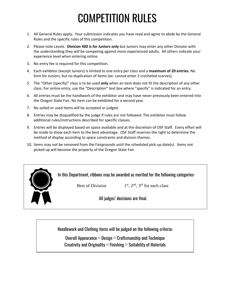## COMPETITION RULES

- 1. All General Rules apply. Your submission indicates you have read and agree to abide by the General Rules and the specific rules of this competition.
- 2. Please note Levels. **Division 400 is for Juniors only** but Juniors may enter any other Division with the understanding they will be competing against more experienced adults. All others indicate your experience level when entering online.
- 3. No entry fee is required for this competition.
- 4. Each exhibitor (except Juniors) is limited to one entry per class and a **maximum of 20 entries**. No limit for Juniors, but no duplication of items (ex: cannot enter 2 crocheted scarves).
- 5. The "Other (specify)" class is to be used **only** when an item does not fit the description of any other class. For online entry, use the "Description" text box where "specify" is indicated for an entry.
- 6. All entries must be the handiwork of the exhibitor and may have never previously been entered into the Oregon State Fair. No item can be exhibited for a second year.
- 7. No soiled or used items will be accepted or judged.
- 8. Entries may be disqualified by the judge if rules are not followed. The exhibitor must follow additional rules/instructions described for specific classes.
- 9. Entries will be displayed based on space available and at the discretion of OSF Staff. Every effort will be made to show each item to the best advantage. OSF Staff reserves the right to determine the method of display according to space constraints and division themes.
- 10. Items may not be removed from the Fairgrounds until the scheduled pick-up date(s). Items not picked up will become the property of the Oregon State Fair.



Needlework and Clothing items will be judged on the following criteria:

Overall Appearance  $\infty$  Design  $\infty$  Craftsmanship and Technique Creativity and Originality  $\infty$  Finishing  $\infty$  Suitability of Materials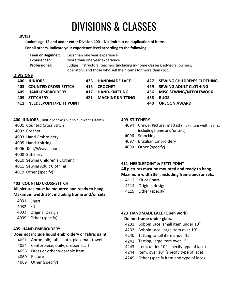## DIVISIONS & CLASSES

#### **LEVELS**

**Juniors age 12 and under enter Division 400 – No limit but no duplication of items.** 

**For all others, indicate your experience level according to the following:** 

| <b>Teen or Beginner:</b> | Less than one year experience                                                |  |  |
|--------------------------|------------------------------------------------------------------------------|--|--|
| Experienced:             | More than one year experience                                                |  |  |
| <b>Professional:</b>     | Judges, instructors, teachers (including in-home classes), advisors, owners, |  |  |
|                          | operators, and those who sell their items for more than cost.                |  |  |

#### **DIVISIONS**

| 400 JUNIORS                     | 423 HANDMADE LACE    |     | 427 SEWII   |
|---------------------------------|----------------------|-----|-------------|
| <b>403 COUNTED CROSS-STITCH</b> | 413 CROCHET          |     | 429 SEWII   |
| 405 HAND-EMBROIDERY             | 417 HAND-KNITTING    |     | 436 MISC    |
| 409 STITCHERY                   | 421 MACHINE KNITTING |     | 438 RUGS    |
| 411 NEEDLEPOINT/PETIT POINT     |                      | 440 | <b>OREG</b> |
|                                 |                      |     |             |

- **400 JUNIORS** (Limit 2 per class but no duplicating items)
- 4001 Counted Cross Stitch
- 4002 Crochet
- 4003 Hand-Embroidery
- 4005 Hand-Knitting
- 4006 Knit/Weave Loom
- 4008 Stitchery
- 4010 Sewing Children's Clothing
- 4011 Sewing Adult Clothing
- 4019 Other (specify)

#### **403 COUNTED CROSS-STITCH**

#### **All pictures must be mounted and ready to hang. Maximum width 36", including frame and/or sets.**

- 4031 Chart
- 4032 Kit
- 4033 Original Design
- 4039 Other (specify)

#### **405 HAND-EMBROIDERY**

#### **Does not include liquid embroidery or fabric paint.**

- 4051 Apron, bib, tablecloth, placemat, towel
- 4054 Centerpiece, doily, dresser scarf
- 4056 Dress or other wearable item
- 4060 Picture
- 4069 Other (specify)

#### **409 STITCHERY**

4094 Crewel Picture, matted (maximum width 36in., including frame and/or sets)

**411 NEEDLEPOINT/PETIT POINT 440 OREGON AWARD**

**400 JUNIORS 423 HANDMADE LACE 427 SEWING CHILDREN'S CLOTHING 403 COUNTED CROSS-STITCH 413 CROCHET 429 SEWING ADULT CLOTHING 405 HAND-EMBROIDERY 417 HAND-KNITTING 436 MISC SEWING/NEEDLEWORK**

- 4096 Smocking
- 4097 Brazilian Embroidery
- 4099 Other (specify)

#### **411 NEEDLEPOINT & PETIT POINT**

#### **All pictures must be mounted and ready to hang. Maximum width 36", including frame and/or sets.**

- 4112 Kit or Chart
- 4114 Original design
- 4119 Other (specify)

#### **423 HANDMADE LACE (Open work) Do not frame under glass.**

- 4231 Bobbin Lace, small item under 10"
- 4232 Bobbin Lace, large item over 10"
- 4240 Tatting, small item under 15"
- 4241 Tatting, large item over 15"
- 4243 Item, under 10" (specify type of lace)
- 4244 Item, over 10" (specify type of lace)
- 4249 Other (specify item and type of lace)